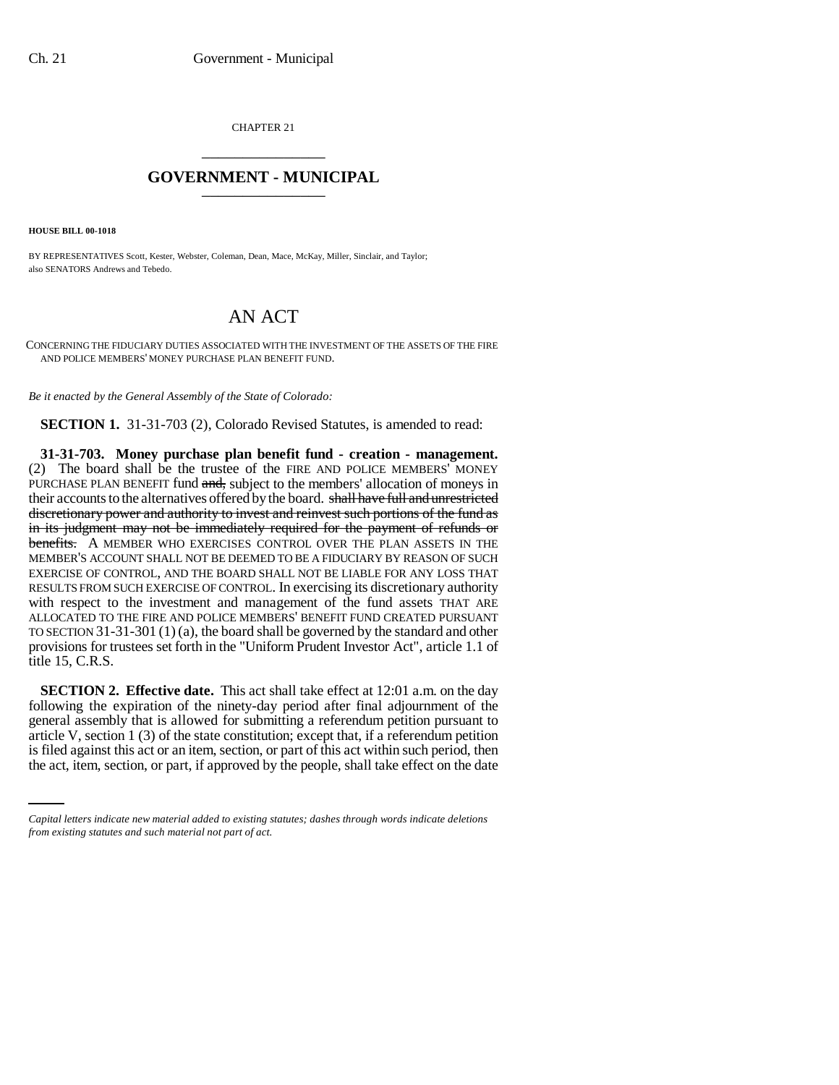CHAPTER 21 \_\_\_\_\_\_\_\_\_\_\_\_\_\_\_

## **GOVERNMENT - MUNICIPAL** \_\_\_\_\_\_\_\_\_\_\_\_\_\_\_

**HOUSE BILL 00-1018** 

BY REPRESENTATIVES Scott, Kester, Webster, Coleman, Dean, Mace, McKay, Miller, Sinclair, and Taylor; also SENATORS Andrews and Tebedo.

## AN ACT

CONCERNING THE FIDUCIARY DUTIES ASSOCIATED WITH THE INVESTMENT OF THE ASSETS OF THE FIRE AND POLICE MEMBERS' MONEY PURCHASE PLAN BENEFIT FUND.

*Be it enacted by the General Assembly of the State of Colorado:*

**SECTION 1.** 31-31-703 (2), Colorado Revised Statutes, is amended to read:

**31-31-703. Money purchase plan benefit fund - creation - management.** (2) The board shall be the trustee of the FIRE AND POLICE MEMBERS' MONEY PURCHASE PLAN BENEFIT fund and, subject to the members' allocation of moneys in their accounts to the alternatives offered by the board. shall have full and unrestricted discretionary power and authority to invest and reinvest such portions of the fund as in its judgment may not be immediately required for the payment of refunds or benefits. A MEMBER WHO EXERCISES CONTROL OVER THE PLAN ASSETS IN THE MEMBER'S ACCOUNT SHALL NOT BE DEEMED TO BE A FIDUCIARY BY REASON OF SUCH EXERCISE OF CONTROL, AND THE BOARD SHALL NOT BE LIABLE FOR ANY LOSS THAT RESULTS FROM SUCH EXERCISE OF CONTROL. In exercising its discretionary authority with respect to the investment and management of the fund assets THAT ARE ALLOCATED TO THE FIRE AND POLICE MEMBERS' BENEFIT FUND CREATED PURSUANT TO SECTION 31-31-301 (1) (a), the board shall be governed by the standard and other provisions for trustees set forth in the "Uniform Prudent Investor Act", article 1.1 of title 15, C.R.S.

article V, section 1 (3) of the state constitution; except that, if a referendum petition **SECTION 2. Effective date.** This act shall take effect at 12:01 a.m. on the day following the expiration of the ninety-day period after final adjournment of the general assembly that is allowed for submitting a referendum petition pursuant to is filed against this act or an item, section, or part of this act within such period, then the act, item, section, or part, if approved by the people, shall take effect on the date

*Capital letters indicate new material added to existing statutes; dashes through words indicate deletions from existing statutes and such material not part of act.*